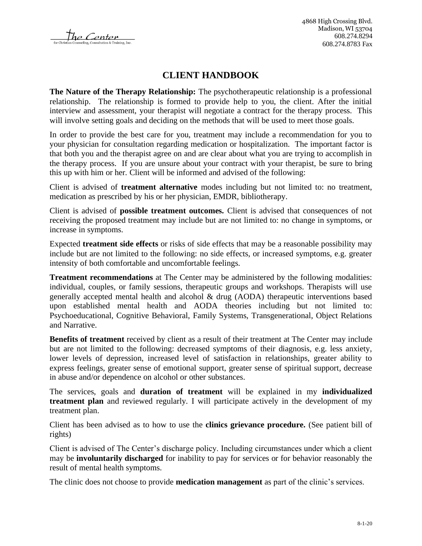The Center

# **CLIENT HANDBOOK**

**The Nature of the Therapy Relationship:** The psychotherapeutic relationship is a professional relationship. The relationship is formed to provide help to you, the client. After the initial interview and assessment, your therapist will negotiate a contract for the therapy process. This will involve setting goals and deciding on the methods that will be used to meet those goals.

In order to provide the best care for you, treatment may include a recommendation for you to your physician for consultation regarding medication or hospitalization. The important factor is that both you and the therapist agree on and are clear about what you are trying to accomplish in the therapy process. If you are unsure about your contract with your therapist, be sure to bring this up with him or her. Client will be informed and advised of the following:

Client is advised of **treatment alternative** modes including but not limited to: no treatment, medication as prescribed by his or her physician, EMDR, bibliotherapy.

Client is advised of **possible treatment outcomes.** Client is advised that consequences of not receiving the proposed treatment may include but are not limited to: no change in symptoms, or increase in symptoms.

Expected **treatment side effects** or risks of side effects that may be a reasonable possibility may include but are not limited to the following: no side effects, or increased symptoms, e.g. greater intensity of both comfortable and uncomfortable feelings.

**Treatment recommendations** at The Center may be administered by the following modalities: individual, couples, or family sessions, therapeutic groups and workshops. Therapists will use generally accepted mental health and alcohol & drug (AODA) therapeutic interventions based upon established mental health and AODA theories including but not limited to: Psychoeducational, Cognitive Behavioral, Family Systems, Transgenerational, Object Relations and Narrative.

**Benefits of treatment** received by client as a result of their treatment at The Center may include but are not limited to the following: decreased symptoms of their diagnosis, e.g. less anxiety, lower levels of depression, increased level of satisfaction in relationships, greater ability to express feelings, greater sense of emotional support, greater sense of spiritual support, decrease in abuse and/or dependence on alcohol or other substances.

The services, goals and **duration of treatment** will be explained in my **individualized treatment plan** and reviewed regularly. I will participate actively in the development of my treatment plan.

Client has been advised as to how to use the **clinics grievance procedure.** (See patient bill of rights)

Client is advised of The Center's discharge policy. Including circumstances under which a client may be **involuntarily discharged** for inability to pay for services or for behavior reasonably the result of mental health symptoms.

The clinic does not choose to provide **medication management** as part of the clinic's services.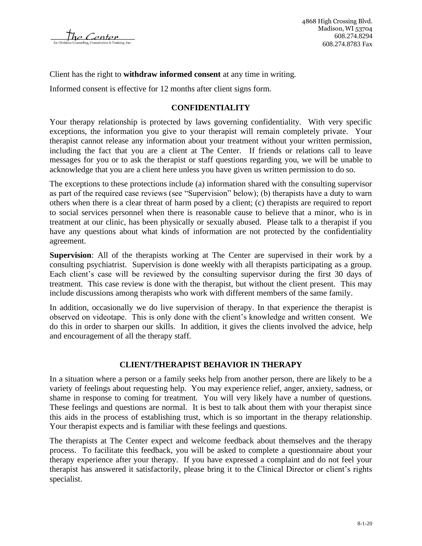The Center

Client has the right to **withdraw informed consent** at any time in writing.

Informed consent is effective for 12 months after client signs form.

#### **CONFIDENTIALITY**

Your therapy relationship is protected by laws governing confidentiality. With very specific exceptions, the information you give to your therapist will remain completely private. Your therapist cannot release any information about your treatment without your written permission, including the fact that you are a client at The Center. If friends or relations call to leave messages for you or to ask the therapist or staff questions regarding you, we will be unable to acknowledge that you are a client here unless you have given us written permission to do so.

The exceptions to these protections include (a) information shared with the consulting supervisor as part of the required case reviews (see "Supervision" below); (b) therapists have a duty to warn others when there is a clear threat of harm posed by a client; (c) therapists are required to report to social services personnel when there is reasonable cause to believe that a minor, who is in treatment at our clinic, has been physically or sexually abused. Please talk to a therapist if you have any questions about what kinds of information are not protected by the confidentiality agreement.

**Supervision**: All of the therapists working at The Center are supervised in their work by a consulting psychiatrist. Supervision is done weekly with all therapists participating as a group. Each client's case will be reviewed by the consulting supervisor during the first 30 days of treatment. This case review is done with the therapist, but without the client present. This may include discussions among therapists who work with different members of the same family.

In addition, occasionally we do live supervision of therapy. In that experience the therapist is observed on videotape. This is only done with the client's knowledge and written consent. We do this in order to sharpen our skills. In addition, it gives the clients involved the advice, help and encouragement of all the therapy staff.

### **CLIENT/THERAPIST BEHAVIOR IN THERAPY**

In a situation where a person or a family seeks help from another person, there are likely to be a variety of feelings about requesting help. You may experience relief, anger, anxiety, sadness, or shame in response to coming for treatment. You will very likely have a number of questions. These feelings and questions are normal. It is best to talk about them with your therapist since this aids in the process of establishing trust, which is so important in the therapy relationship. Your therapist expects and is familiar with these feelings and questions.

The therapists at The Center expect and welcome feedback about themselves and the therapy process. To facilitate this feedback, you will be asked to complete a questionnaire about your therapy experience after your therapy. If you have expressed a complaint and do not feel your therapist has answered it satisfactorily, please bring it to the Clinical Director or client's rights specialist.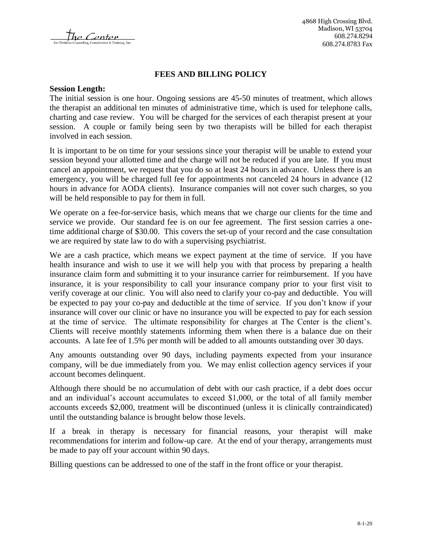The Center

### **FEES AND BILLING POLICY**

#### **Session Length:**

The initial session is one hour. Ongoing sessions are 45-50 minutes of treatment, which allows the therapist an additional ten minutes of administrative time, which is used for telephone calls, charting and case review. You will be charged for the services of each therapist present at your session. A couple or family being seen by two therapists will be billed for each therapist involved in each session.

It is important to be on time for your sessions since your therapist will be unable to extend your session beyond your allotted time and the charge will not be reduced if you are late. If you must cancel an appointment, we request that you do so at least 24 hours in advance. Unless there is an emergency, you will be charged full fee for appointments not canceled 24 hours in advance (12 hours in advance for AODA clients). Insurance companies will not cover such charges, so you will be held responsible to pay for them in full.

We operate on a fee-for-service basis, which means that we charge our clients for the time and service we provide. Our standard fee is on our fee agreement. The first session carries a onetime additional charge of \$30.00. This covers the set-up of your record and the case consultation we are required by state law to do with a supervising psychiatrist.

We are a cash practice, which means we expect payment at the time of service. If you have health insurance and wish to use it we will help you with that process by preparing a health insurance claim form and submitting it to your insurance carrier for reimbursement. If you have insurance, it is your responsibility to call your insurance company prior to your first visit to verify coverage at our clinic. You will also need to clarify your co-pay and deductible. You will be expected to pay your co-pay and deductible at the time of service. If you don't know if your insurance will cover our clinic or have no insurance you will be expected to pay for each session at the time of service. The ultimate responsibility for charges at The Center is the client's. Clients will receive monthly statements informing them when there is a balance due on their accounts. A late fee of 1.5% per month will be added to all amounts outstanding over 30 days.

Any amounts outstanding over 90 days, including payments expected from your insurance company, will be due immediately from you. We may enlist collection agency services if your account becomes delinquent.

Although there should be no accumulation of debt with our cash practice, if a debt does occur and an individual's account accumulates to exceed \$1,000, or the total of all family member accounts exceeds \$2,000, treatment will be discontinued (unless it is clinically contraindicated) until the outstanding balance is brought below those levels.

If a break in therapy is necessary for financial reasons, your therapist will make recommendations for interim and follow-up care. At the end of your therapy, arrangements must be made to pay off your account within 90 days.

Billing questions can be addressed to one of the staff in the front office or your therapist.